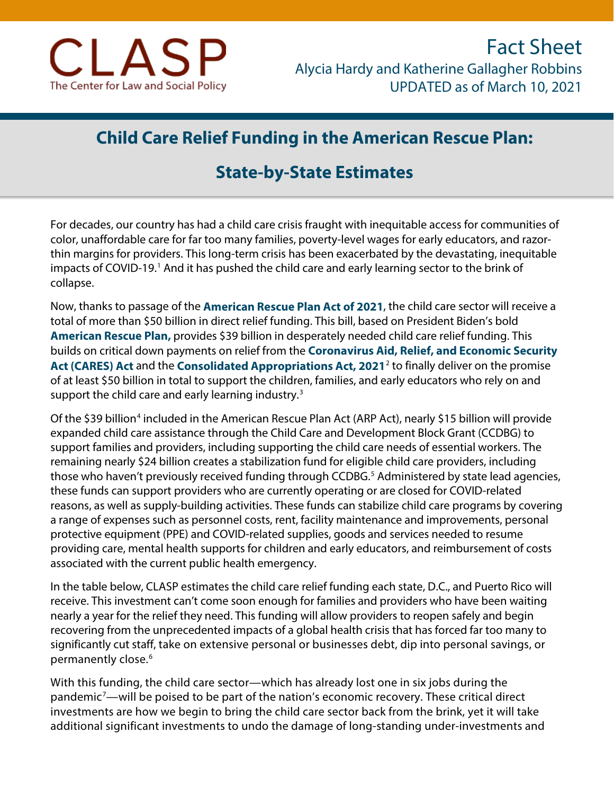

## **Child Care Relief Funding in the American Rescue Plan:**

## **State-by-State Estimates**

For decades, our country has had a child care crisis fraught with inequitable access for communities of color, unaffordable care for far too many families, poverty-level wages for early educators, and razorthin margins for providers. This long-term crisis has been exacerbated by the devastating, inequitable impacts of COVID-[1](#page-2-0)9.<sup>1</sup> And it has pushed the child care and early learning sector to the brink of collapse.

Now, thanks to passage of the **[American Rescue Plan Act of 2021](https://www.congress.gov/bill/117th-congress/house-bill/1319/text)**, the child care sector will receive a total of more than \$50 billion in direct relief funding. This bill, based on President Biden's bold **[American Rescue Plan,](https://www.whitehouse.gov/briefing-room/legislation/2021/01/20/president-biden-announces-american-rescue-plan/)** provides \$39 billion in desperately needed child care relief funding. This builds on critical down payments on relief from the **[Coronavirus Aid, Relief, and Economic Security](https://www.congress.gov/116/bills/hr748/BILLS-116hr748enr.pdf)  [Act \(CARES\) Act](https://www.congress.gov/116/bills/hr748/BILLS-116hr748enr.pdf)** and the **[Consolidated Appropriations Act, 2021](https://www.congress.gov/116/bills/hr133/BILLS-116hr133enr.pdf)**[2](#page-2-1) to finally deliver on the promise of at least \$50 billion in total to support the children, families, and early educators who rely on and support the child care and early learning industry. $3$ 

Of the \$39 billion<sup>[4](#page-2-3)</sup> included in the American Rescue Plan Act (ARP Act), nearly \$15 billion will provide expanded child care assistance through the Child Care and Development Block Grant (CCDBG) to support families and providers, including supporting the child care needs of essential workers. The remaining nearly \$24 billion creates a stabilization fund for eligible child care providers, including those who haven't previously received funding through CCDBG. [5](#page-2-4) Administered by state lead agencies, these funds can support providers who are currently operating or are closed for COVID-related reasons, as well as supply-building activities. These funds can stabilize child care programs by covering a range of expenses such as personnel costs, rent, facility maintenance and improvements, personal protective equipment (PPE) and COVID-related supplies, goods and services needed to resume providing care, mental health supports for children and early educators, and reimbursement of costs associated with the current public health emergency.

In the table below, CLASP estimates the child care relief funding each state, D.C., and Puerto Rico will receive. This investment can't come soon enough for families and providers who have been waiting nearly a year for the relief they need. This funding will allow providers to reopen safely and begin recovering from the unprecedented impacts of a global health crisis that has forced far too many to significantly cut staff, take on extensive personal or businesses debt, dip into personal savings, or permanently close.<sup>[6](#page-2-5)</sup>

With this funding, the child care sector—which has already lost one in six jobs during the pandemic<sup>[7](#page-2-6)</sup>—will be poised to be part of the nation's economic recovery. These critical direct investments are how we begin to bring the child care sector back from the brink, yet it will take additional significant investments to undo the damage of long-standing under-investments and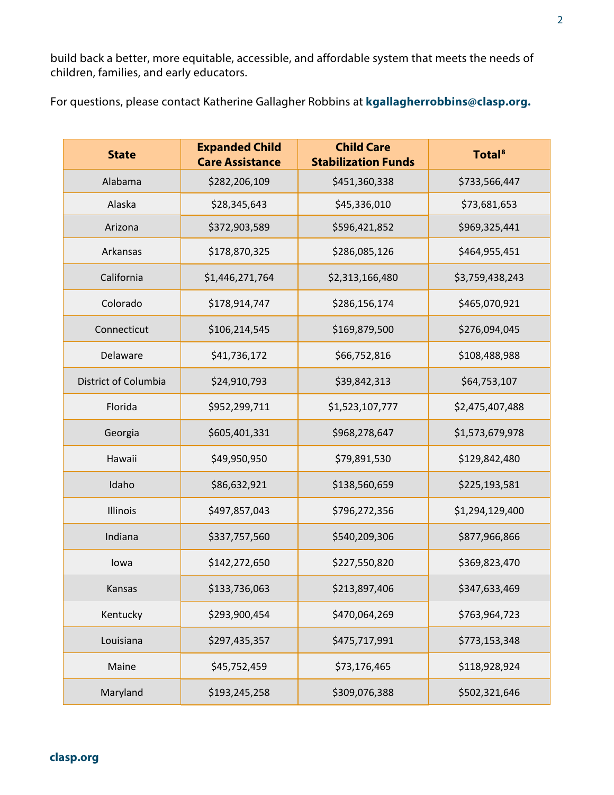build back a better, more equitable, accessible, and affordable system that meets the needs of children, families, and early educators.

For questions, please contact Katherine Gallagher Robbins at **[kgallagherrobbins@clasp.org.](mailto:kgallagherrobbins@clasp.org)** 

| <b>State</b>         | <b>Expanded Child</b><br><b>Care Assistance</b> | <b>Child Care</b><br><b>Stabilization Funds</b> | <b>Total</b> <sup>8</sup> |
|----------------------|-------------------------------------------------|-------------------------------------------------|---------------------------|
| Alabama              | \$282,206,109                                   | \$451,360,338                                   | \$733,566,447             |
| Alaska               | \$28,345,643                                    | \$45,336,010                                    | \$73,681,653              |
| Arizona              | \$372,903,589                                   | \$596,421,852                                   | \$969,325,441             |
| Arkansas             | \$178,870,325                                   | \$286,085,126                                   | \$464,955,451             |
| California           | \$1,446,271,764                                 | \$2,313,166,480                                 | \$3,759,438,243           |
| Colorado             | \$178,914,747                                   | \$286,156,174                                   | \$465,070,921             |
| Connecticut          | \$106,214,545                                   | \$169,879,500                                   | \$276,094,045             |
| Delaware             | \$41,736,172                                    | \$66,752,816                                    | \$108,488,988             |
| District of Columbia | \$24,910,793                                    | \$39,842,313                                    | \$64,753,107              |
| Florida              | \$952,299,711                                   | \$1,523,107,777                                 | \$2,475,407,488           |
| Georgia              | \$605,401,331                                   | \$968,278,647                                   | \$1,573,679,978           |
| Hawaii               | \$49,950,950                                    | \$79,891,530                                    | \$129,842,480             |
| Idaho                | \$86,632,921                                    | \$138,560,659                                   | \$225,193,581             |
| Illinois             | \$497,857,043                                   | \$796,272,356                                   | \$1,294,129,400           |
| Indiana              | \$337,757,560                                   | \$540,209,306                                   | \$877,966,866             |
| Iowa                 | \$142,272,650                                   | \$227,550,820                                   | \$369,823,470             |
| Kansas               | \$133,736,063                                   | \$213,897,406                                   | \$347,633,469             |
| Kentucky             | \$293,900,454                                   | \$470,064,269                                   | \$763,964,723             |
| Louisiana            | \$297,435,357                                   | \$475,717,991                                   | \$773,153,348             |
| Maine                | \$45,752,459                                    | \$73,176,465                                    | \$118,928,924             |
| Maryland             | \$193,245,258                                   | \$309,076,388                                   | \$502,321,646             |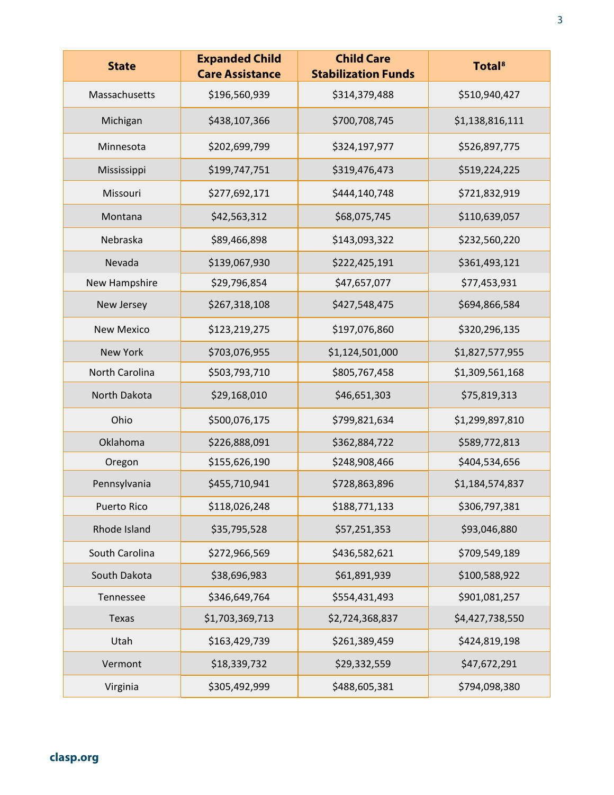<span id="page-2-8"></span><span id="page-2-7"></span><span id="page-2-6"></span><span id="page-2-5"></span><span id="page-2-4"></span><span id="page-2-3"></span><span id="page-2-2"></span><span id="page-2-1"></span><span id="page-2-0"></span>

| <b>State</b>      | <b>Expanded Child</b><br><b>Care Assistance</b> | <b>Child Care</b><br><b>Stabilization Funds</b> | <b>Total</b> <sup>8</sup> |
|-------------------|-------------------------------------------------|-------------------------------------------------|---------------------------|
| Massachusetts     | \$196,560,939                                   | \$314,379,488                                   | \$510,940,427             |
| Michigan          | \$438,107,366                                   | \$700,708,745                                   | \$1,138,816,111           |
| Minnesota         | \$202,699,799                                   | \$324,197,977                                   | \$526,897,775             |
| Mississippi       | \$199,747,751                                   | \$319,476,473                                   | \$519,224,225             |
| Missouri          | \$277,692,171                                   | \$444,140,748                                   | \$721,832,919             |
| Montana           | \$42,563,312                                    | \$68,075,745                                    | \$110,639,057             |
| Nebraska          | \$89,466,898                                    | \$143,093,322                                   | \$232,560,220             |
| Nevada            | \$139,067,930                                   | \$222,425,191                                   | \$361,493,121             |
| New Hampshire     | \$29,796,854                                    | \$47,657,077                                    | \$77,453,931              |
| New Jersey        | \$267,318,108                                   | \$427,548,475                                   | \$694,866,584             |
| <b>New Mexico</b> | \$123,219,275                                   | \$197,076,860                                   | \$320,296,135             |
| <b>New York</b>   | \$703,076,955                                   | \$1,124,501,000                                 | \$1,827,577,955           |
| North Carolina    | \$503,793,710                                   | \$805,767,458                                   | \$1,309,561,168           |
| North Dakota      | \$29,168,010                                    | \$46,651,303                                    | \$75,819,313              |
| Ohio              | \$500,076,175                                   | \$799,821,634                                   | \$1,299,897,810           |
| Oklahoma          | \$226,888,091                                   | \$362,884,722                                   | \$589,772,813             |
| Oregon            | \$155,626,190                                   | \$248,908,466                                   | \$404,534,656             |
| Pennsylvania      | \$455,710,941                                   | \$728,863,896                                   | \$1,184,574,837           |
| Puerto Rico       | \$118,026,248                                   | \$188,771,133                                   | \$306,797,381             |
| Rhode Island      | \$35,795,528                                    | \$57,251,353                                    | \$93,046,880              |
| South Carolina    | \$272,966,569                                   | \$436,582,621                                   | \$709,549,189             |
| South Dakota      | \$38,696,983                                    | \$61,891,939                                    | \$100,588,922             |
| Tennessee         | \$346,649,764                                   | \$554,431,493                                   | \$901,081,257             |
| Texas             | \$1,703,369,713                                 | \$2,724,368,837                                 | \$4,427,738,550           |
| Utah              | \$163,429,739                                   | \$261,389,459                                   | \$424,819,198             |
| Vermont           | \$18,339,732                                    | \$29,332,559                                    | \$47,672,291              |
| Virginia          | \$305,492,999                                   | \$488,605,381                                   | \$794,098,380             |